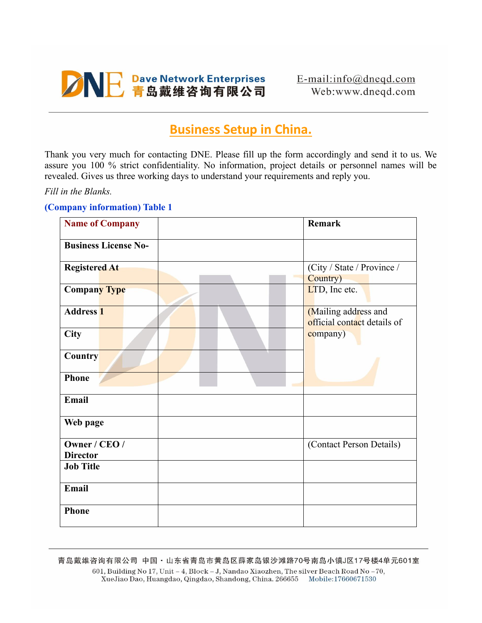# **ANE Dave Network Enterprises**

## **Business Setup in China.**

Thank you very much for contacting DNE. Please fill up the form accordingly and send it to us. We assure you 100 % strict confidentiality. No information, project details or personnel names will be revealed. Gives us three working days to understand your requirements and reply you.

*Fill in the Blanks.*

## **(Company information) Table 1**

| <b>Name of Company</b>           | <b>Remark</b>                                       |
|----------------------------------|-----------------------------------------------------|
| <b>Business License No-</b>      |                                                     |
| <b>Registered At</b>             | (City / State / Province /<br>Country)              |
| <b>Company Type</b>              | LTD, Inc etc.                                       |
| <b>Address 1</b>                 | (Mailing address and<br>official contact details of |
| City                             | company)                                            |
| <b>Country</b>                   |                                                     |
| <b>Phone</b>                     |                                                     |
| Email                            |                                                     |
| Web page                         |                                                     |
| Owner / CEO /<br><b>Director</b> | (Contact Person Details)                            |
| <b>Job Title</b>                 |                                                     |
| Email                            |                                                     |
| <b>Phone</b>                     |                                                     |

青岛戴维咨询有限公司 中国·山东省青岛市黄岛区薛家岛银沙滩路70号南岛小镇J区17号楼4单元601室 601, Building No 17, Unit - 4, Block - J, Nandao Xiaozhen, The silver Beach Road No -70, XueJiao Dao, Huangdao, Qingdao, Shandong, China. 266655 Mobile:17660671530